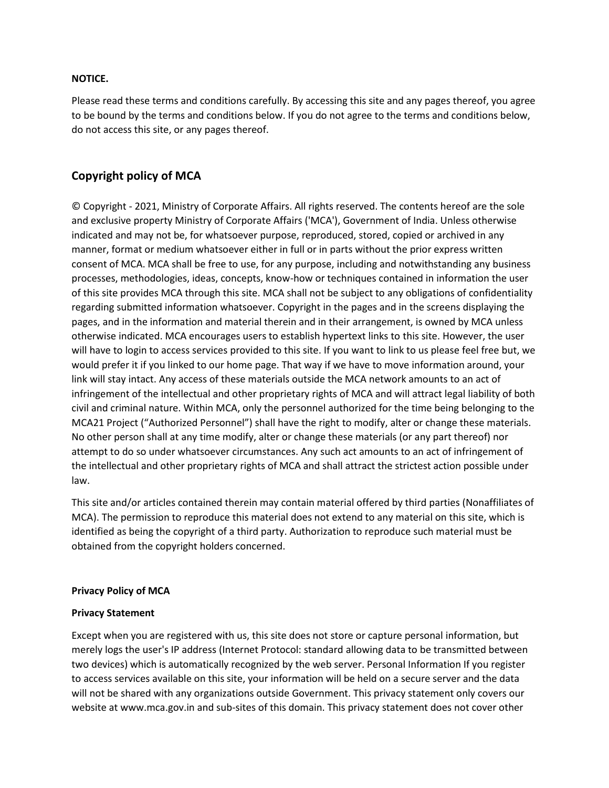## **NOTICE.**

Please read these terms and conditions carefully. By accessing this site and any pages thereof, you agree to be bound by the terms and conditions below. If you do not agree to the terms and conditions below, do not access this site, or any pages thereof.

## **Copyright policy of MCA**

© Copyright - 2021, Ministry of Corporate Affairs. All rights reserved. The contents hereof are the sole and exclusive property Ministry of Corporate Affairs ('MCA'), Government of India. Unless otherwise indicated and may not be, for whatsoever purpose, reproduced, stored, copied or archived in any manner, format or medium whatsoever either in full or in parts without the prior express written consent of MCA. MCA shall be free to use, for any purpose, including and notwithstanding any business processes, methodologies, ideas, concepts, know-how or techniques contained in information the user of this site provides MCA through this site. MCA shall not be subject to any obligations of confidentiality regarding submitted information whatsoever. Copyright in the pages and in the screens displaying the pages, and in the information and material therein and in their arrangement, is owned by MCA unless otherwise indicated. MCA encourages users to establish hypertext links to this site. However, the user will have to login to access services provided to this site. If you want to link to us please feel free but, we would prefer it if you linked to our home page. That way if we have to move information around, your link will stay intact. Any access of these materials outside the MCA network amounts to an act of infringement of the intellectual and other proprietary rights of MCA and will attract legal liability of both civil and criminal nature. Within MCA, only the personnel authorized for the time being belonging to the MCA21 Project ("Authorized Personnel") shall have the right to modify, alter or change these materials. No other person shall at any time modify, alter or change these materials (or any part thereof) nor attempt to do so under whatsoever circumstances. Any such act amounts to an act of infringement of the intellectual and other proprietary rights of MCA and shall attract the strictest action possible under law.

This site and/or articles contained therein may contain material offered by third parties (Nonaffiliates of MCA). The permission to reproduce this material does not extend to any material on this site, which is identified as being the copyright of a third party. Authorization to reproduce such material must be obtained from the copyright holders concerned.

## **Privacy Policy of MCA**

## **Privacy Statement**

Except when you are registered with us, this site does not store or capture personal information, but merely logs the user's IP address (Internet Protocol: standard allowing data to be transmitted between two devices) which is automatically recognized by the web server. Personal Information If you register to access services available on this site, your information will be held on a secure server and the data will not be shared with any organizations outside Government. This privacy statement only covers our website at www.mca.gov.in and sub-sites of this domain. This privacy statement does not cover other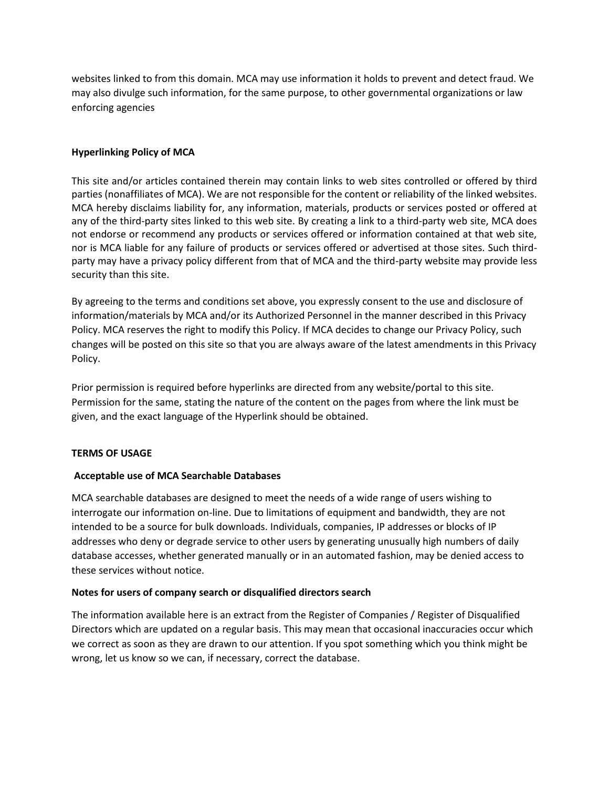websites linked to from this domain. MCA may use information it holds to prevent and detect fraud. We may also divulge such information, for the same purpose, to other governmental organizations or law enforcing agencies

## **Hyperlinking Policy of MCA**

This site and/or articles contained therein may contain links to web sites controlled or offered by third parties (nonaffiliates of MCA). We are not responsible for the content or reliability of the linked websites. MCA hereby disclaims liability for, any information, materials, products or services posted or offered at any of the third-party sites linked to this web site. By creating a link to a third-party web site, MCA does not endorse or recommend any products or services offered or information contained at that web site, nor is MCA liable for any failure of products or services offered or advertised at those sites. Such thirdparty may have a privacy policy different from that of MCA and the third-party website may provide less security than this site.

By agreeing to the terms and conditions set above, you expressly consent to the use and disclosure of information/materials by MCA and/or its Authorized Personnel in the manner described in this Privacy Policy. MCA reserves the right to modify this Policy. If MCA decides to change our Privacy Policy, such changes will be posted on this site so that you are always aware of the latest amendments in this Privacy Policy.

Prior permission is required before hyperlinks are directed from any website/portal to this site. Permission for the same, stating the nature of the content on the pages from where the link must be given, and the exact language of the Hyperlink should be obtained.

## **TERMS OF USAGE**

## **Acceptable use of MCA Searchable Databases**

MCA searchable databases are designed to meet the needs of a wide range of users wishing to interrogate our information on-line. Due to limitations of equipment and bandwidth, they are not intended to be a source for bulk downloads. Individuals, companies, IP addresses or blocks of IP addresses who deny or degrade service to other users by generating unusually high numbers of daily database accesses, whether generated manually or in an automated fashion, may be denied access to these services without notice.

#### **Notes for users of company search or disqualified directors search**

The information available here is an extract from the Register of Companies / Register of Disqualified Directors which are updated on a regular basis. This may mean that occasional inaccuracies occur which we correct as soon as they are drawn to our attention. If you spot something which you think might be wrong, let us know so we can, if necessary, correct the database.